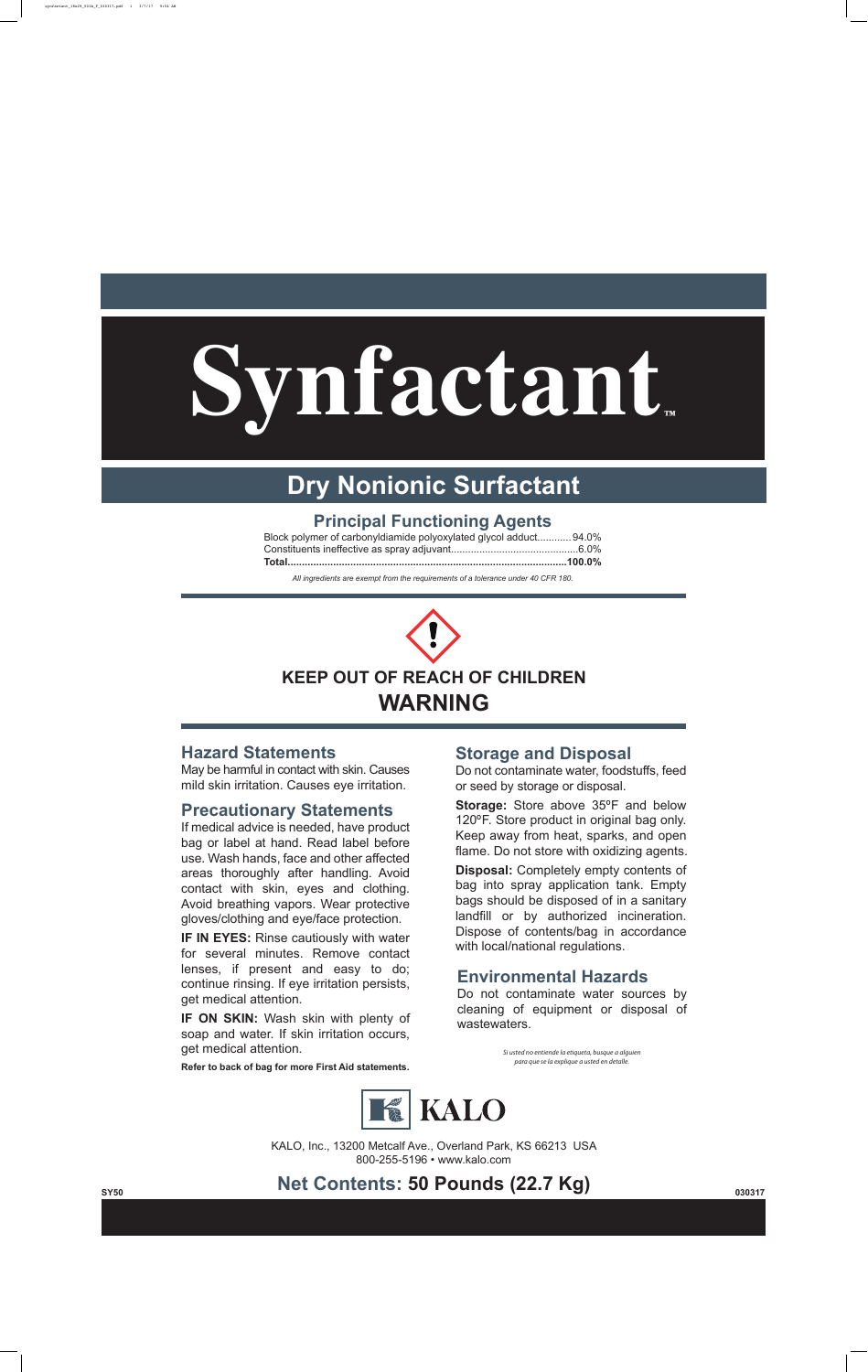**Synfactant™**



#### **Hazard Statements**

May be harmful in contact with skin. Causes mild skin irritation. Causes eye irritation.

#### **Precautionary Statements**

**IF IN EYES:** Rinse cautiously with water for several minutes. Remove contact lenses, if present and easy to do; continue rinsing. If eye irritation persists, get medical attention.

If medical advice is needed, have product bag or label at hand. Read label before use. Wash hands, face and other affected areas thoroughly after handling. Avoid contact with skin, eyes and clothing. Avoid breathing vapors. Wear protective gloves/clothing and eye/face protection.

**IF ON SKIN:** Wash skin with plenty of soap and water. If skin irritation occurs, get medical attention.

**Refer to back of bag for more First Aid statements.**

KALO, Inc., 13200 Metcalf Ave., Overland Park, KS 66213 USA 800-255-5196 • www.kalo.com

#### **Storage and Disposal**

Do not contaminate water, foodstuffs, feed or seed by storage or disposal.

**Storage:** Store above 35ºF and below 120ºF. Store product in original bag only. Keep away from heat, sparks, and open flame. Do not store with oxidizing agents.





**Disposal:** Completely empty contents of bag into spray application tank. Empty bags should be disposed of in a sanitary landfill or by authorized incineration. Dispose of contents/bag in accordance with local/national regulations.

> *Si usted no entiende la etiqueta, busque a alguien para que se la explique a usted en detalle.*



### **Principal Functioning Agents**

| Block polymer of carbonyldiamide polyoxylated glycol adduct 94.0% |  |
|-------------------------------------------------------------------|--|

# **Dry Nonionic Surfactant**

### **Environmental Hazards**

Do not contaminate water sources by cleaning of equipment or disposal of wastewaters.

## synfactant\_18x29\_50lb\_F\_030317.pdf 1 3/7/17 9:54 AM